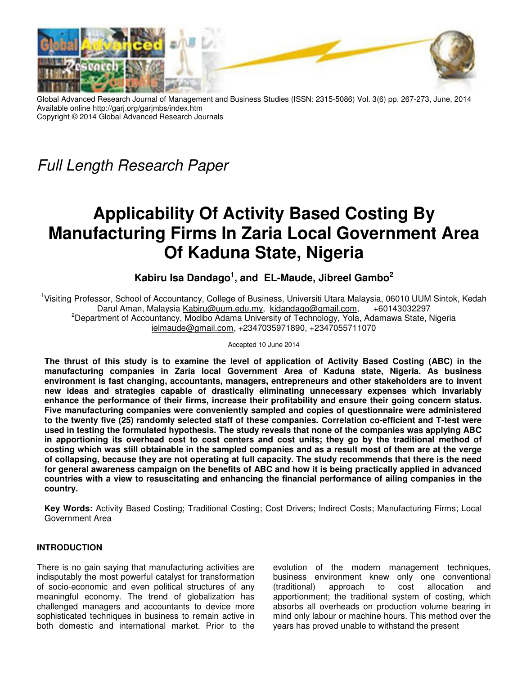

Global Advanced Research Journal of Management and Business Studies (ISSN: 2315-5086) Vol. 3(6) pp. 267-273, June, 2014 Available online http://garj.org/garjmbs/index.htm Copyright © 2014 Global Advanced Research Journals

Full Length Research Paper

# **Applicability Of Activity Based Costing By Manufacturing Firms In Zaria Local Government Area Of Kaduna State, Nigeria**

**Kabiru Isa Dandago<sup>1</sup> , and EL-Maude, Jibreel Gambo<sup>2</sup>**

<sup>1</sup>Visiting Professor, School of Accountancy, College of Business, Universiti Utara Malaysia, 06010 UUM Sintok, Kedah Darul Aman, Malaysia Kabiru@uum.edu.my, kidandago@gmail.com, +60143032297 <sup>2</sup>Department of Accountancy, Modibo Adama University of Technology, Yola, Adamawa State, Nigeria ielmaude@gmail.com, +2347035971890, +2347055711070

Accepted 10 June 2014

**The thrust of this study is to examine the level of application of Activity Based Costing (ABC) in the manufacturing companies in Zaria local Government Area of Kaduna state, Nigeria. As business environment is fast changing, accountants, managers, entrepreneurs and other stakeholders are to invent new ideas and strategies capable of drastically eliminating unnecessary expenses which invariably enhance the performance of their firms, increase their profitability and ensure their going concern status. Five manufacturing companies were conveniently sampled and copies of questionnaire were administered to the twenty five (25) randomly selected staff of these companies. Correlation co-efficient and T-test were used in testing the formulated hypothesis. The study reveals that none of the companies was applying ABC in apportioning its overhead cost to cost centers and cost units; they go by the traditional method of costing which was still obtainable in the sampled companies and as a result most of them are at the verge of collapsing, because they are not operating at full capacity. The study recommends that there is the need for general awareness campaign on the benefits of ABC and how it is being practically applied in advanced countries with a view to resuscitating and enhancing the financial performance of ailing companies in the country.** 

**Key Words:** Activity Based Costing; Traditional Costing; Cost Drivers; Indirect Costs; Manufacturing Firms; Local Government Area

# **INTRODUCTION**

There is no gain saying that manufacturing activities are indisputably the most powerful catalyst for transformation of socio-economic and even political structures of any meaningful economy. The trend of globalization has challenged managers and accountants to device more sophisticated techniques in business to remain active in both domestic and international market. Prior to the

evolution of the modern management techniques, business environment knew only one conventional (traditional) approach to cost allocation and apportionment; the traditional system of costing, which absorbs all overheads on production volume bearing in mind only labour or machine hours. This method over the years has proved unable to withstand the present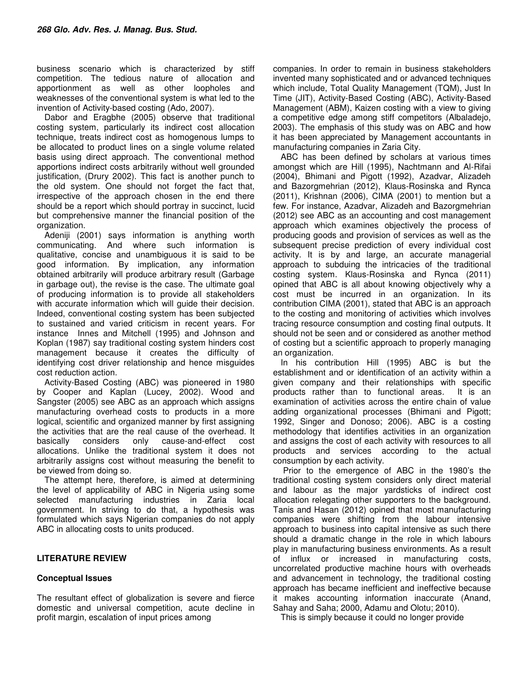business scenario which is characterized by stiff competition. The tedious nature of allocation and apportionment as well as other loopholes and weaknesses of the conventional system is what led to the invention of Activity-based costing (Ado, 2007).

Dabor and Eragbhe (2005) observe that traditional costing system, particularly its indirect cost allocation technique, treats indirect cost as homogenous lumps to be allocated to product lines on a single volume related basis using direct approach. The conventional method apportions indirect costs arbitrarily without well grounded justification, (Drury 2002). This fact is another punch to the old system. One should not forget the fact that, irrespective of the approach chosen in the end there should be a report which should portray in succinct, lucid but comprehensive manner the financial position of the organization.

Adeniji (2001) says information is anything worth communicating. And where such information is qualitative, concise and unambiguous it is said to be good information. By implication, any information obtained arbitrarily will produce arbitrary result (Garbage in garbage out), the revise is the case. The ultimate goal of producing information is to provide all stakeholders with accurate information which will guide their decision. Indeed, conventional costing system has been subjected to sustained and varied criticism in recent years. For instance Innes and Mitchell (1995) and Johnson and Koplan (1987) say traditional costing system hinders cost management because it creates the difficulty of identifying cost driver relationship and hence misguides cost reduction action.

Activity-Based Costing (ABC) was pioneered in 1980 by Cooper and Kaplan (Lucey, 2002). Wood and Sangster (2005) see ABC as an approach which assigns manufacturing overhead costs to products in a more logical, scientific and organized manner by first assigning the activities that are the real cause of the overhead. It<br>basically considers only cause-and-effect cost basically considers only cause-and-effect cost allocations. Unlike the traditional system it does not arbitrarily assigns cost without measuring the benefit to be viewed from doing so.

The attempt here, therefore, is aimed at determining the level of applicability of ABC in Nigeria using some selected manufacturing industries in Zaria local government. In striving to do that, a hypothesis was formulated which says Nigerian companies do not apply ABC in allocating costs to units produced.

### **LITERATURE REVIEW**

#### **Conceptual Issues**

The resultant effect of globalization is severe and fierce domestic and universal competition, acute decline in profit margin, escalation of input prices among

companies. In order to remain in business stakeholders invented many sophisticated and or advanced techniques which include, Total Quality Management (TQM), Just In Time (JIT), Activity-Based Costing (ABC), Activity-Based Management (ABM), Kaizen costing with a view to giving a competitive edge among stiff competitors (Albaladejo, 2003). The emphasis of this study was on ABC and how it has been appreciated by Management accountants in manufacturing companies in Zaria City.

ABC has been defined by scholars at various times amongst which are Hill (1995), Nachtmann and Al-Rifai (2004), Bhimani and Pigott (1992), Azadvar, Alizadeh and Bazorgmehrian (2012), Klaus-Rosinska and Rynca (2011), Krishnan (2006), CIMA (2001) to mention but a few. For instance, Azadvar, Alizadeh and Bazorgmehrian (2012) see ABC as an accounting and cost management approach which examines objectively the process of producing goods and provision of services as well as the subsequent precise prediction of every individual cost activity. It is by and large, an accurate managerial approach to subduing the intricacies of the traditional costing system. Klaus-Rosinska and Rynca (2011) opined that ABC is all about knowing objectively why a cost must be incurred in an organization. In its contribution CIMA (2001), stated that ABC is an approach to the costing and monitoring of activities which involves tracing resource consumption and costing final outputs. It should not be seen and or considered as another method of costing but a scientific approach to properly managing an organization.

In his contribution Hill (1995) ABC is but the establishment and or identification of an activity within a given company and their relationships with specific products rather than to functional areas. It is an examination of activities across the entire chain of value adding organizational processes (Bhimani and Pigott; 1992, Singer and Donoso; 2006). ABC is a costing methodology that identifies activities in an organization and assigns the cost of each activity with resources to all products and services according to the actual consumption by each activity.

 Prior to the emergence of ABC in the 1980's the traditional costing system considers only direct material and labour as the major yardsticks of indirect cost allocation relegating other supporters to the background. Tanis and Hasan (2012) opined that most manufacturing companies were shifting from the labour intensive approach to business into capital intensive as such there should a dramatic change in the role in which labours play in manufacturing business environments. As a result of influx or increased in manufacturing costs, uncorrelated productive machine hours with overheads and advancement in technology, the traditional costing approach has became inefficient and ineffective because it makes accounting information inaccurate (Anand, Sahay and Saha; 2000, Adamu and Olotu; 2010).

This is simply because it could no longer provide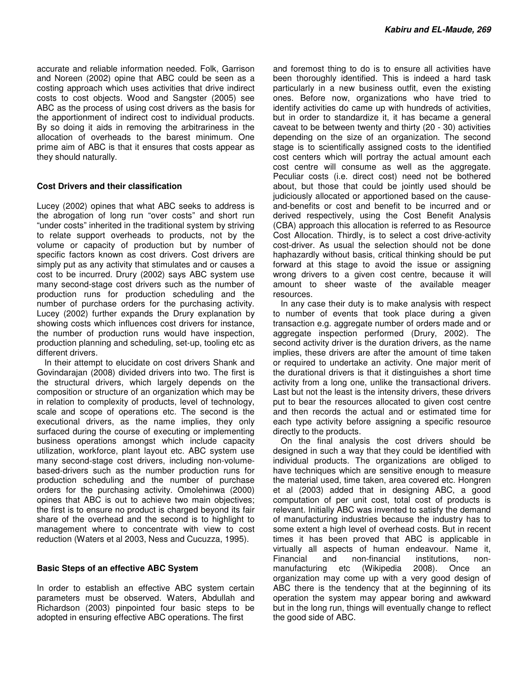accurate and reliable information needed. Folk, Garrison and Noreen (2002) opine that ABC could be seen as a costing approach which uses activities that drive indirect costs to cost objects. Wood and Sangster (2005) see ABC as the process of using cost drivers as the basis for the apportionment of indirect cost to individual products. By so doing it aids in removing the arbitrariness in the allocation of overheads to the barest minimum. One prime aim of ABC is that it ensures that costs appear as they should naturally.

# **Cost Drivers and their classification**

Lucey (2002) opines that what ABC seeks to address is the abrogation of long run "over costs" and short run "under costs" inherited in the traditional system by striving to relate support overheads to products, not by the volume or capacity of production but by number of specific factors known as cost drivers. Cost drivers are simply put as any activity that stimulates and or causes a cost to be incurred. Drury (2002) says ABC system use many second-stage cost drivers such as the number of production runs for production scheduling and the number of purchase orders for the purchasing activity. Lucey (2002) further expands the Drury explanation by showing costs which influences cost drivers for instance, the number of production runs would have inspection, production planning and scheduling, set-up, tooling etc as different drivers.

In their attempt to elucidate on cost drivers Shank and Govindarajan (2008) divided drivers into two. The first is the structural drivers, which largely depends on the composition or structure of an organization which may be in relation to complexity of products, level of technology, scale and scope of operations etc. The second is the executional drivers, as the name implies, they only surfaced during the course of executing or implementing business operations amongst which include capacity utilization, workforce, plant layout etc. ABC system use many second-stage cost drivers, including non-volumebased-drivers such as the number production runs for production scheduling and the number of purchase orders for the purchasing activity. Omolehinwa (2000) opines that ABC is out to achieve two main objectives; the first is to ensure no product is charged beyond its fair share of the overhead and the second is to highlight to management where to concentrate with view to cost reduction (Waters et al 2003, Ness and Cucuzza, 1995).

### **Basic Steps of an effective ABC System**

In order to establish an effective ABC system certain parameters must be observed. Waters, Abdullah and Richardson (2003) pinpointed four basic steps to be adopted in ensuring effective ABC operations. The first

and foremost thing to do is to ensure all activities have been thoroughly identified. This is indeed a hard task particularly in a new business outfit, even the existing ones. Before now, organizations who have tried to identify activities do came up with hundreds of activities, but in order to standardize it, it has became a general caveat to be between twenty and thirty (20 - 30) activities depending on the size of an organization. The second stage is to scientifically assigned costs to the identified cost centers which will portray the actual amount each cost centre will consume as well as the aggregate. Peculiar costs (i.e. direct cost) need not be bothered about, but those that could be jointly used should be judiciously allocated or apportioned based on the causeand-benefits or cost and benefit to be incurred and or derived respectively, using the Cost Benefit Analysis (CBA) approach this allocation is referred to as Resource Cost Allocation. Thirdly, is to select a cost drive-activity cost-driver. As usual the selection should not be done haphazardly without basis, critical thinking should be put forward at this stage to avoid the issue or assigning wrong drivers to a given cost centre, because it will amount to sheer waste of the available meager resources.

In any case their duty is to make analysis with respect to number of events that took place during a given transaction e.g. aggregate number of orders made and or aggregate inspection performed (Drury, 2002). The second activity driver is the duration drivers, as the name implies, these drivers are after the amount of time taken or required to undertake an activity. One major merit of the durational drivers is that it distinguishes a short time activity from a long one, unlike the transactional drivers. Last but not the least is the intensity drivers, these drivers put to bear the resources allocated to given cost centre and then records the actual and or estimated time for each type activity before assigning a specific resource directly to the products.

On the final analysis the cost drivers should be designed in such a way that they could be identified with individual products. The organizations are obliged to have techniques which are sensitive enough to measure the material used, time taken, area covered etc. Hongren et al (2003) added that in designing ABC, a good computation of per unit cost, total cost of products is relevant. Initially ABC was invented to satisfy the demand of manufacturing industries because the industry has to some extent a high level of overhead costs. But in recent times it has been proved that ABC is applicable in virtually all aspects of human endeavour. Name it, Financial and non-financial institutions, nonmanufacturing etc (Wikipedia 2008). Once an organization may come up with a very good design of ABC there is the tendency that at the beginning of its operation the system may appear boring and awkward but in the long run, things will eventually change to reflect the good side of ABC.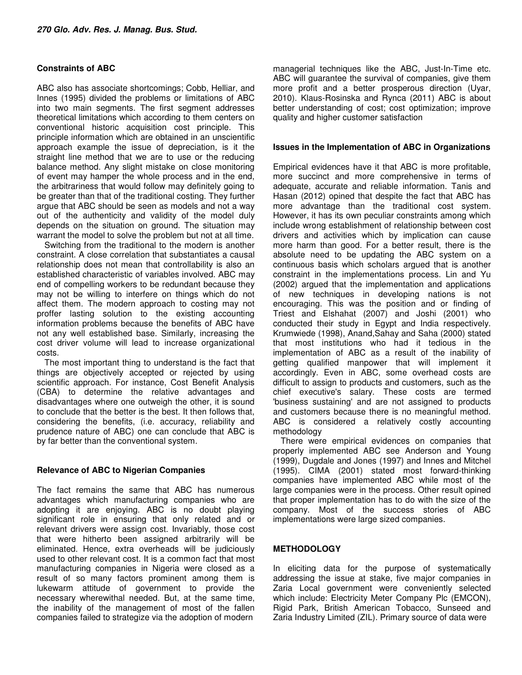# **Constraints of ABC**

ABC also has associate shortcomings; Cobb, Helliar, and Innes (1995) divided the problems or limitations of ABC into two main segments. The first segment addresses theoretical limitations which according to them centers on conventional historic acquisition cost principle. This principle information which are obtained in an unscientific approach example the issue of depreciation, is it the straight line method that we are to use or the reducing balance method. Any slight mistake on close monitoring of event may hamper the whole process and in the end, the arbitrariness that would follow may definitely going to be greater than that of the traditional costing. They further argue that ABC should be seen as models and not a way out of the authenticity and validity of the model duly depends on the situation on ground. The situation may warrant the model to solve the problem but not at all time.

Switching from the traditional to the modern is another constraint. A close correlation that substantiates a causal relationship does not mean that controllability is also an established characteristic of variables involved. ABC may end of compelling workers to be redundant because they may not be willing to interfere on things which do not affect them. The modern approach to costing may not proffer lasting solution to the existing accounting information problems because the benefits of ABC have not any well established base. Similarly, increasing the cost driver volume will lead to increase organizational costs.

The most important thing to understand is the fact that things are objectively accepted or rejected by using scientific approach. For instance, Cost Benefit Analysis (CBA) to determine the relative advantages and disadvantages where one outweigh the other, it is sound to conclude that the better is the best. It then follows that, considering the benefits, (i.e. accuracy, reliability and prudence nature of ABC) one can conclude that ABC is by far better than the conventional system.

### **Relevance of ABC to Nigerian Companies**

The fact remains the same that ABC has numerous advantages which manufacturing companies who are adopting it are enjoying. ABC is no doubt playing significant role in ensuring that only related and or relevant drivers were assign cost. Invariably, those cost that were hitherto been assigned arbitrarily will be eliminated. Hence, extra overheads will be judiciously used to other relevant cost. It is a common fact that most manufacturing companies in Nigeria were closed as a result of so many factors prominent among them is lukewarm attitude of government to provide the necessary wherewithal needed. But, at the same time, the inability of the management of most of the fallen companies failed to strategize via the adoption of modern

managerial techniques like the ABC, Just-In-Time etc. ABC will guarantee the survival of companies, give them more profit and a better prosperous direction (Uyar, 2010). Klaus-Rosinska and Rynca (2011) ABC is about better understanding of cost; cost optimization; improve quality and higher customer satisfaction

### **Issues in the Implementation of ABC in Organizations**

Empirical evidences have it that ABC is more profitable, more succinct and more comprehensive in terms of adequate, accurate and reliable information. Tanis and Hasan (2012) opined that despite the fact that ABC has more advantage than the traditional cost system. However, it has its own peculiar constraints among which include wrong establishment of relationship between cost drivers and activities which by implication can cause more harm than good. For a better result, there is the absolute need to be updating the ABC system on a continuous basis which scholars argued that is another constraint in the implementations process. Lin and Yu (2002) argued that the implementation and applications of new techniques in developing nations is not encouraging. This was the position and or finding of Triest and Elshahat (2007) and Joshi (2001) who conducted their study in Egypt and India respectively. Krumwiede (1998), Anand,Sahay and Saha (2000) stated that most institutions who had it tedious in the implementation of ABC as a result of the inability of getting qualified manpower that will implement it accordingly. Even in ABC, some overhead costs are difficult to assign to products and customers, such as the chief executive's salary. These costs are termed 'business sustaining' and are not assigned to products and customers because there is no meaningful method. ABC is considered a relatively costly accounting methodology

There were empirical evidences on companies that properly implemented ABC see Anderson and Young (1999), Dugdale and Jones (1997) and Innes and Mitchel (1995). CIMA (2001) stated most forward-thinking companies have implemented ABC while most of the large companies were in the process. Other result opined that proper implementation has to do with the size of the company. Most of the success stories of ABC implementations were large sized companies.

# **METHODOLOGY**

In eliciting data for the purpose of systematically addressing the issue at stake, five major companies in Zaria Local government were conveniently selected which include: Electricity Meter Company Plc (EMCON), Rigid Park, British American Tobacco, Sunseed and Zaria Industry Limited (ZIL). Primary source of data were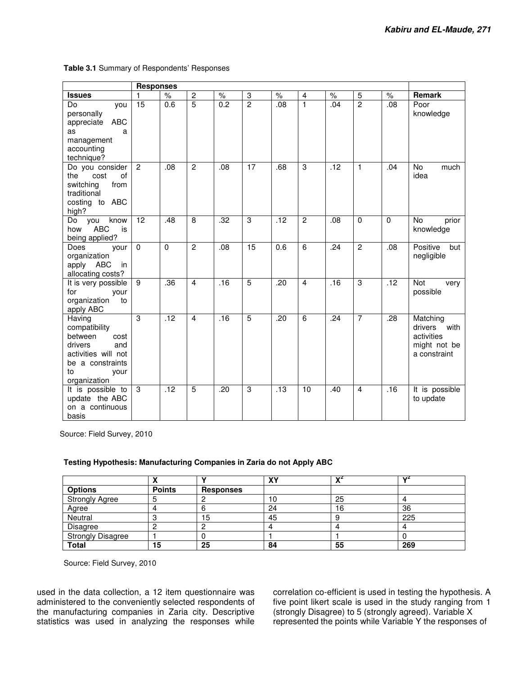|                                                                                                                                       | <b>Responses</b> |          |                |                  |                           |      |                |                  |                |                  |                                                                           |
|---------------------------------------------------------------------------------------------------------------------------------------|------------------|----------|----------------|------------------|---------------------------|------|----------------|------------------|----------------|------------------|---------------------------------------------------------------------------|
| <b>Issues</b>                                                                                                                         | 1                | $\%$     | $\overline{c}$ | $\%$             | $\ensuremath{\mathsf{3}}$ | $\%$ | 4              | $\%$             | 5              | $\%$             | Remark                                                                    |
| Do<br>you<br>personally<br><b>ABC</b><br>appreciate<br>as<br>a<br>management<br>accounting<br>technique?                              | $\overline{15}$  | 0.6      | $\overline{5}$ | $\overline{0.2}$ | $\overline{2}$            | .08  | $\mathbf{1}$   | .04              | $\overline{2}$ | $\overline{.08}$ | Poor<br>knowledge                                                         |
| Do you consider<br>the<br>cost<br>of<br>switching<br>from<br>traditional<br>costing to ABC<br>high?                                   | $\overline{2}$   | .08      | $\overline{2}$ | .08              | $\overline{17}$           | .68  | 3              | $\overline{.12}$ | $\blacksquare$ | .04              | No<br>much<br>idea                                                        |
| know<br>Do<br>you<br><b>ABC</b><br>how<br>is<br>being applied?                                                                        | 12               | .48      | 8              | .32              | 3                         | .12  | $\overline{c}$ | .08              | $\Omega$       | $\Omega$         | No.<br>prior<br>knowledge                                                 |
| Does<br>vour<br>organization<br>apply<br>ABC<br>in<br>allocating costs?                                                               | $\mathbf 0$      | $\Omega$ | $\overline{2}$ | .08              | 15                        | 0.6  | $\overline{6}$ | .24              | $\overline{2}$ | .08              | Positive<br>but<br>negligible                                             |
| It is very possible<br>for<br>your<br>organization<br>to<br>apply ABC                                                                 | 9                | .36      | $\overline{4}$ | .16              | $\overline{5}$            | .20  | $\overline{4}$ | .16              | 3              | $\overline{.12}$ | Not<br>very<br>possible                                                   |
| Having<br>compatibility<br>between<br>cost<br>drivers<br>and<br>activities will not<br>be a constraints<br>to<br>your<br>organization | $\overline{3}$   | .12      | $\overline{4}$ | .16              | $\overline{5}$            | .20  | $\overline{6}$ | .24              | 7              | .28              | Matching<br>with<br>drivers<br>activities<br>might not be<br>a constraint |
| It is possible to<br>update the ABC<br>on a continuous<br>basis                                                                       | 3                | .12      | $\overline{5}$ | .20              | 3                         | .13  | 10             | .40              | $\overline{4}$ | .16              | It is possible<br>to update                                               |

**Table 3.1** Summary of Respondents' Responses

Source: Field Survey, 2010

### **Testing Hypothesis: Manufacturing Companies in Zaria do not Apply ABC**

|                          |               |           | vv<br>ΛI | $\mathbf{v}$ | $\mathbf{v}^2$ |
|--------------------------|---------------|-----------|----------|--------------|----------------|
| <b>Options</b>           | <b>Points</b> | Responses |          |              |                |
| <b>Strongly Agree</b>    |               |           | 10       | 25           |                |
| Agree                    |               |           | 24       | 16           | 36             |
| Neutral                  |               | 15        | 45       |              | 225            |
| Disagree                 |               |           |          |              |                |
| <b>Strongly Disagree</b> |               |           |          |              |                |
| <b>Total</b>             | 15            | 25        | 84       | 55           | 269            |

Source: Field Survey, 2010

used in the data collection, a 12 item questionnaire was administered to the conveniently selected respondents of the manufacturing companies in Zaria city. Descriptive statistics was used in analyzing the responses while correlation co-efficient is used in testing the hypothesis. A five point likert scale is used in the study ranging from 1 (strongly Disagree) to 5 (strongly agreed). Variable X represented the points while Variable Y the responses of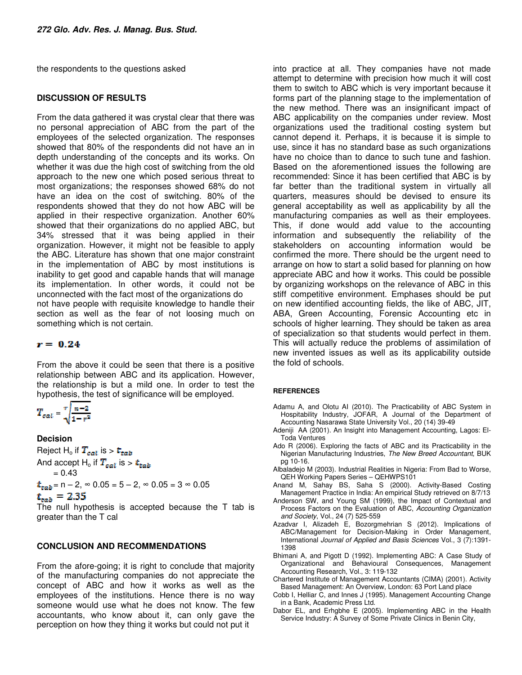the respondents to the questions asked

#### **DISCUSSION OF RESULTS**

From the data gathered it was crystal clear that there was no personal appreciation of ABC from the part of the employees of the selected organization. The responses showed that 80% of the respondents did not have an in depth understanding of the concepts and its works. On whether it was due the high cost of switching from the old approach to the new one which posed serious threat to most organizations; the responses showed 68% do not have an idea on the cost of switching. 80% of the respondents showed that they do not how ABC will be applied in their respective organization. Another 60% showed that their organizations do no applied ABC, but 34% stressed that it was being applied in their organization. However, it might not be feasible to apply the ABC. Literature has shown that one major constraint in the implementation of ABC by most institutions is inability to get good and capable hands that will manage its implementation. In other words, it could not be unconnected with the fact most of the organizations do not have people with requisite knowledge to handle their section as well as the fear of not loosing much on something which is not certain.

#### $r = 0.24$

From the above it could be seen that there is a positive relationship between ABC and its application. However, the relationship is but a mild one. In order to test the hypothesis, the test of significance will be employed.

$$
T_{cat} = \sqrt[n]{\frac{n-2}{1-r^2}}
$$

**Decision** 

Reject H<sub>o</sub> if  $T_{\text{cat}}$  is  $> t_{\text{tab}}$ And accept H<sub>o</sub> if  $T_{cal}$  is  $> t_{tab}$  $= 0.43$  $t_{\text{tab}}$  = n – 2,  $\infty$  0.05 = 5 – 2,  $\infty$  0.05 = 3  $\infty$  0.05  $t_{\rm{rad}} = 2.35$ 

The null hypothesis is accepted because the T tab is greater than the T cal

#### **CONCLUSION AND RECOMMENDATIONS**

From the afore-going; it is right to conclude that majority of the manufacturing companies do not appreciate the concept of ABC and how it works as well as the employees of the institutions. Hence there is no way someone would use what he does not know. The few accountants, who know about it, can only gave the perception on how they thing it works but could not put it

into practice at all. They companies have not made attempt to determine with precision how much it will cost them to switch to ABC which is very important because it forms part of the planning stage to the implementation of the new method. There was an insignificant impact of ABC applicability on the companies under review. Most organizations used the traditional costing system but cannot depend it. Perhaps, it is because it is simple to use, since it has no standard base as such organizations have no choice than to dance to such tune and fashion. Based on the aforementioned issues the following are recommended: Since it has been certified that ABC is by far better than the traditional system in virtually all quarters, measures should be devised to ensure its general acceptability as well as applicability by all the manufacturing companies as well as their employees. This, if done would add value to the accounting information and subsequently the reliability of the stakeholders on accounting information would be confirmed the more. There should be the urgent need to arrange on how to start a solid based for planning on how appreciate ABC and how it works. This could be possible by organizing workshops on the relevance of ABC in this stiff competitive environment. Emphases should be put on new identified accounting fields, the like of ABC, JIT, ABA, Green Accounting, Forensic Accounting etc in schools of higher learning. They should be taken as area of specialization so that students would perfect in them. This will actually reduce the problems of assimilation of new invented issues as well as its applicability outside the fold of schools.

#### **REFERENCES**

- Adamu A, and Olotu AI (2010). The Practicability of ABC System in Hospitability Industry, JOFAR, A Journal of the Department of Accounting Nasarawa State University Vol., 20 (14) 39-49
- Adeniji AA (2001). An Insight into Management Accounting, Lagos: El-Toda Ventures
- Ado R (2006). Exploring the facts of ABC and its Practicability in the Nigerian Manufacturing Industries, The New Breed Accountant, BUK pg 10-16.
- Albaladejo M (2003). Industrial Realities in Nigeria: From Bad to Worse, QEH Working Papers Series – QEHWPS101
- Anand M, Sahay BS, Saha S (2000). Activity-Based Costing Management Practice in India: An empirical Study retrieved on 8/7/13
- Anderson SW, and Young SM (1999), the Impact of Contextual and Process Factors on the Evaluation of ABC, Accounting Organization and Society, Vol., 24 (7) 525-559
- Azadvar I, Alizadeh E, Bozorgmehrian S (2012). Implications of ABC/Management for Decision-Making in Order Management, International Journal of Applied and Basis Sciences Vol., 3 (7):1391- 1398
- Bhimani A, and Pigott D (1992). Implementing ABC: A Case Study of Organizational and Behavioural Consequences, Management Accounting Research, Vol., 3: 119-132
- Chartered Institute of Management Accountants (CIMA) (2001). Activity Based Management: An Overview, London: 63 Port Land place
- Cobb I, Helliar C, and Innes J (1995). Management Accounting Change in a Bank, Academic Press Ltd.
- Dabor EL, and Erhgbhe E (2005). Implementing ABC in the Health Service Industry: A Survey of Some Private Clinics in Benin City,